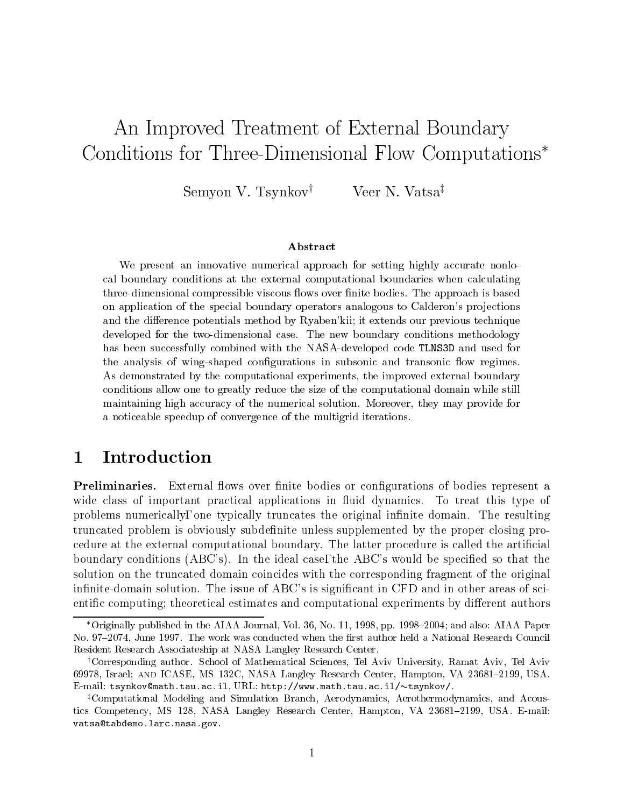# An Improved Treatment of External Boundary Conditions for Three-Dimensional Flow Computations

Semyon V. Tsynkov<sup>†</sup> Veer N. Vatsa<sup>‡</sup>

#### Abstract

We present an innovative numerical approach for setting highly accurate nonlocal boundary conditions at the external computational boundaries when calculating three-dimensional compressible viscous flows over finite bodies. The approach is based on application of the special boundary operators analogous to Calderon's projections and the difference potentials method by Ryaben'kii; it extends our previous technique developed for the two-dimensional case. The new boundary conditions methodology has been successfully combined with the NASA-developed code TLNS3D and used for the analysis of wing-shaped configurations in subsonic and transonic flow regimes. As demonstrated by the computational experiments, the improved external boundary conditions allow one to greatly reduce the size of the computational domain while still maintaining high accuracy of the numerical solution. Moreover, they may provide for a noticeable speedup of convergence of the multigrid iterations.

# 1 Introduction

**Preliminaries.** External flows over finite bodies or configurations of bodies represent a wide class of important practical applications in fluid dynamics. To treat this type of problems numerically, one typically truncates the original infinite domain. The resulting truncated problem is obviously subdefinite unless supplemented by the proper closing procedure at the external computational boundary. The latter procedure is called the artificial boundary conditions (ABC's). In the ideal case, the ABC's would be specified so that the solution on the truncated domain coincides with the corresponding fragment of the original infinite-domain solution. The issue of ABC's is significant in CFD and in other areas of scientific computing; theoretical estimates and computational experiments by different authors

<sup>\*</sup>Originally published in the AIAA Journal, Vol. 36, No. 11, 1998, pp. 1998-2004; and also: AIAA Paper No. 97-2074, June 1997. The work was conducted when the first author held a National Research Council Resident Research Associateship at NASA Langley Research Center.

yCorresponding author. School of Mathematical Sciences, Tel Aviv University, Ramat Aviv, Tel Aviv 69978, Israel; AND ICASE, MS 132C, NASA Langley Research Center, Hampton, VA 23681-2199, USA. E-mail: tsynkov@math.tau.ac.il, URL: http://www.math.tau.ac.il/ $\sim$ tsynkov/.

<sup>&</sup>lt;sup>‡</sup>Computational Modeling and Simulation Branch, Aerodynamics, Aerothermodynamics, and Acoustics Competency, MS 128, NASA Langley Research Center, Hampton, VA 23681-2199, USA. E-mail: vatsa@tabdemo.larc.nasa.gov.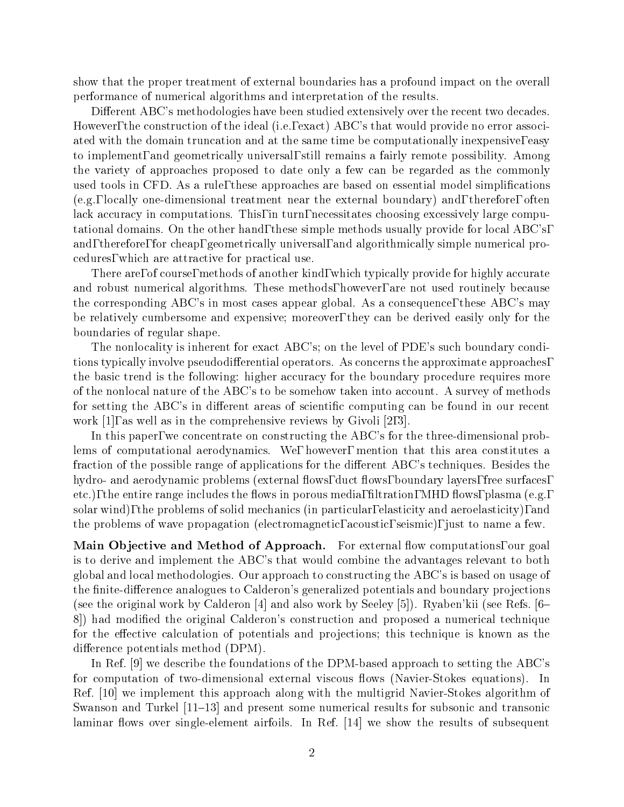show that the proper treatment of external boundaries has a profound impact on the overall performance of numerical algorithms and interpretation of the results.

Different ABC's methodologies have been studied extensively over the recent two decades. However, the construction of the ideal (i.e., exact) ABC's that would provide no error associated with the domain truncation and at the same time be computationally inexpensive, easy to implement, and geometrically universal, still remains a fairly remote possibility. Among the variety of approaches proposed to date only a few can be regarded as the commonly used tools in CFD. As a rule, these approaches are based on essential model simplications (e.g., locally one-dimensional treatment near the external boundary) and, therefore, often lack accuracy in computations. This, in turn, necessitates choosing excessively large computational domains. On the other hand, these simple methods usually provide for local ABC's, and, therefore, for cheap, geometrically universal, and algorithmically simple numerical procedures, which are attractive for practical use.

There are, of course, methods of another kind, which typically provide for highly accurate and robust numerical algorithms. These methods, however, are not used routinely because the corresponding ABC's in most cases appear global. As a consequence, these ABC's may be relatively cumbersome and expensive; moreover, they can be derived easily only for the boundaries of regular shape.

The nonlocality is inherent for exact ABC's; on the level of PDE's such boundary conditions typically involve pseudodifferential operators. As concerns the approximate approaches, the basic trend is the following: higher accuracy for the boundary procedure requires more of the nonlocal nature of the ABC's to be somehow taken into account. A survey of methods for setting the ABC's in different areas of scientific computing can be found in our recent work [1], as well as in the comprehensive reviews by Givoli [2, 3].

In this paper, we concentrate on constructing the ABC's for the three-dimensional problems of computational aerodynamics. We, however, mention that this area constitutes a fraction of the possible range of applications for the different ABC's techniques. Besides the hydro- and aerodynamic problems (external flows, duct flows, boundary layers, free surfaces, etc.), the entire range includes the flows in porous media, filtration, MHD flows, plasma (e.g., solar wind), the problems of solid mechanics (in particular, elasticity and aeroelasticity), and the problems of wave propagation (electromagnetic, acoustic, seismic), just to name a few.

Main Objective and Method of Approach. For external flow computations, our goal is to derive and implement the ABC's that would combine the advantages relevant to both global and local methodologies. Our approach to constructing the ABC's is based on usage of the finite-difference analogues to Calderon's generalized potentials and boundary projections (see the original work by Calderon  $[4]$  and also work by Seeley  $[5]$ ). Ryaben'kii (see Refs.  $[6-$ 8]) had modied the original Calderon's construction and proposed a numerical technique for the effective calculation of potentials and projections; this technique is known as the difference potentials method (DPM).

In Ref. [9] we describe the foundations of the DPM-based approach to setting the ABC's for computation of two-dimensional external viscous flows (Navier-Stokes equations). In Ref. [10] we implement this approach along with the multigrid Navier-Stokes algorithm of Swanson and Turkel  $[11{-}13]$  and present some numerical results for subsonic and transonic laminar flows over single-element airfoils. In Ref. [14] we show the results of subsequent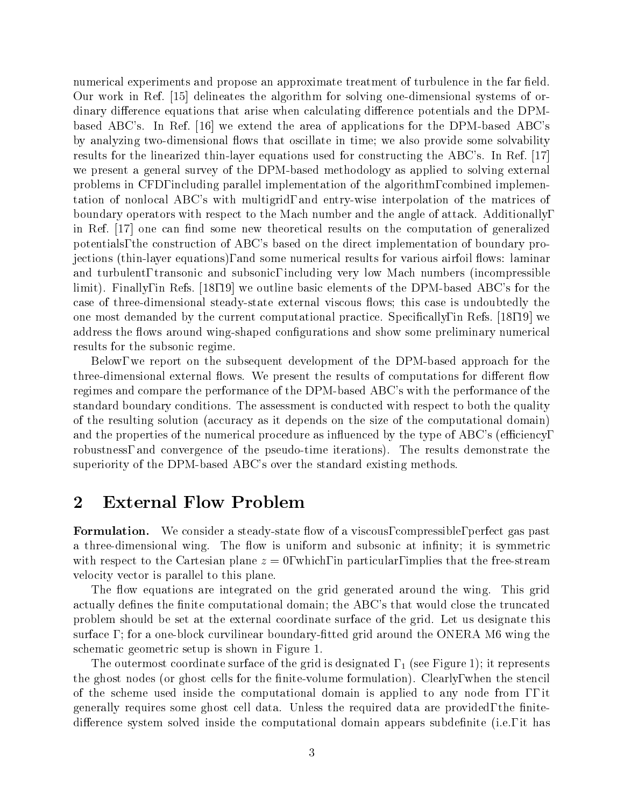numerical experiments and propose an approximate treatment of turbulence in the far field. Our work in Ref. [15] delineates the algorithm for solving one-dimensional systems of ordinary difference equations that arise when calculating difference potentials and the DPMbased ABC's. In Ref. [16] we extend the area of applications for the DPM-based ABC's by analyzing two-dimensional flows that oscillate in time; we also provide some solvability results for the linearized thin-layer equations used for constructing the ABC's. In Ref. [17] we present a general survey of the DPM-based methodology as applied to solving external problems in CFD, including parallel implementation of the algorithm, combined implementation of nonlocal ABC's with multigrid, and entry-wise interpolation of the matrices of boundary operators with respect to the Mach number and the angle of attack. Additionally, in Ref.  $[17]$  one can find some new theoretical results on the computation of generalized potentials, the construction of ABC's based on the direct implementation of boundary projections (thin-layer equations), and some numerical results for various airfoil flows: laminar and turbulent, transonic and subsonic, including very low Mach numbers (incompressible limit). Finally, in Refs. [18, 19] we outline basic elements of the DPM-based ABC's for the case of three-dimensional steady-state external viscous flows; this case is undoubtedly the one most demanded by the current computational practice. Specically, in Refs. [18, 19] we address the flows around wing-shaped configurations and show some preliminary numerical results for the subsonic regime.

Below, we report on the subsequent development of the DPM-based approach for the three-dimensional external flows. We present the results of computations for different flow regimes and compare the performance of the DPM-based ABC's with the performance of the standard boundary conditions. The assessment is conducted with respect to both the quality of the resulting solution (accuracy as it depends on the size of the computational domain) and the properties of the numerical procedure as influenced by the type of ABC's (efficiency, robustness, and convergence of the pseudo-time iterations). The results demonstrate the superiority of the DPM-based ABC's over the standard existing methods.

# 2 External Flow Problem

**Formulation.** We consider a steady-state flow of a viscous, compressible, perfect gas past a three-dimensional wing. The flow is uniform and subsonic at infinity; it is symmetric with respect to the Cartesian plane  $z = 0$ , which, in particular, implies that the free-stream velocity vector is parallel to this plane.

The flow equations are integrated on the grid generated around the wing. This grid actually defines the finite computational domain; the ABC's that would close the truncated problem should be set at the external coordinate surface of the grid. Let us designate this surface, ; for a one-block curvilinear boundary-fitted grid around the ONERA M6 wing the schematic geometric setup is shown in Figure 1.

The outermost coordinate surface of the grid is designated,  $_1$  (see Figure 1); it represents the ghost nodes (or ghost cells for the finite-volume formulation). Clearly, when the stencil of the scheme used inside the computational domain is applied to any node from , it generally requires some ghost cell data. Unless the required data are provided, the finitedifference system solved inside the computational domain appears subdefinite (i.e., it has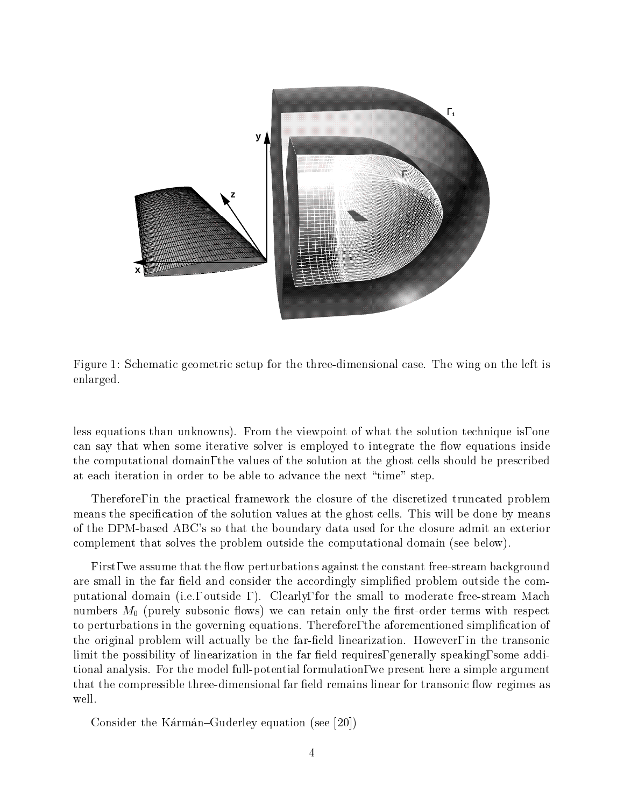

Figure 1: Schematic geometric setup for the three-dimensional case. The wing on the left is enlarged.

less equations than unknowns). From the viewpoint of what the solution technique is, one can say that when some iterative solver is employed to integrate the flow equations inside the computational domain, the values of the solution at the ghost cells should be prescribed at each iteration in order to be able to advance the next "time" step.

Therefore, in the practical framework the closure of the discretized truncated problem means the specification of the solution values at the ghost cells. This will be done by means of the DPM-based ABC's so that the boundary data used for the closure admit an exterior complement that solves the problem outside the computational domain (see below).

First, we assume that the flow perturbations against the constant free-stream background are small in the far field and consider the accordingly simplified problem outside the computational domain (i.e., outside, ). Clearly, for the small to moderate free-stream Mach numbers  $M_0$  (purely subsonic flows) we can retain only the first-order terms with respect to perturbations in the governing equations. Therefore, the aforementioned simplication of the original problem will actually be the far-field linearization. However, in the transonic limit the possibility of linearization in the far field requires, generally speaking, some additional analysis. For the model full-potential formulation, we present here a simple argument that the compressible three-dimensional far field remains linear for transonic flow regimes as well.

Consider the Kármán–Guderley equation (see [20])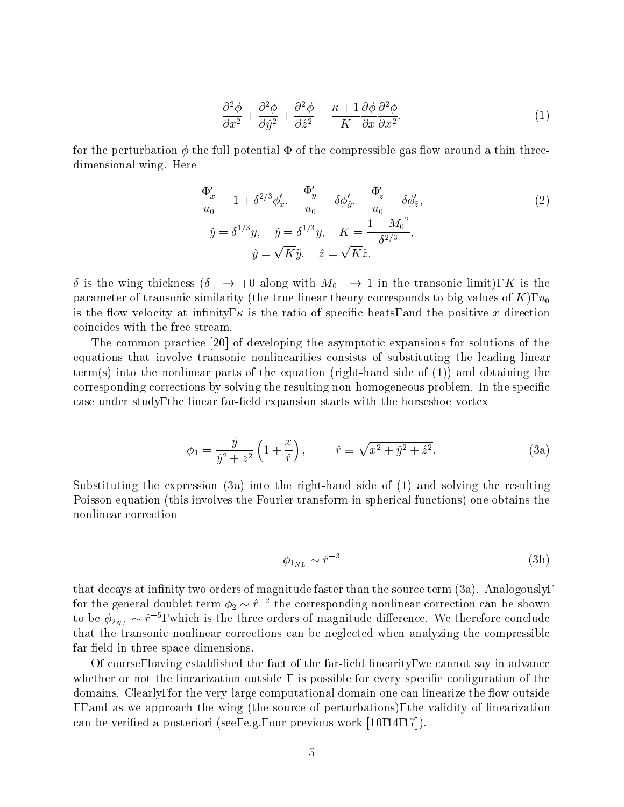$$
\frac{\partial^2 \phi}{\partial x^2} + \frac{\partial^2 \phi}{\partial \hat{y}^2} + \frac{\partial^2 \phi}{\partial \hat{z}^2} = \frac{\kappa + 1}{K} \frac{\partial \phi}{\partial x} \frac{\partial^2 \phi}{\partial x^2}.
$$
\n(1)

for the perturbation  $\phi$  the full potential  $\Phi$  of the compressible gas flow around a thin threedimensional wing. Here

$$
\frac{\Phi_x'}{u_0} = 1 + \delta^{2/3} \phi_x', \quad \frac{\Phi_y'}{u_0} = \delta \phi_{\tilde{y}}', \quad \frac{\Phi_z'}{u_0} = \delta \phi_{\tilde{z}}', \n\tilde{y} = \delta^{1/3} y, \quad \tilde{y} = \delta^{1/3} y, \quad K = \frac{1 - M_0^2}{\delta^{2/3}}, \n\hat{y} = \sqrt{K} \tilde{y}, \quad \hat{z} = \sqrt{K} \tilde{z},
$$
\n(2)

 $\delta$  is the wing thickness  $(\delta \longrightarrow +0$  along with  $M_0 \longrightarrow 1$  in the transonic limit), K is the parameter of transonic similarity (the true linear theory corresponds to big values of K),  $u_0$ is the flow velocity at infinity,  $\kappa$  is the ratio of specific heats, and the positive x direction coincides with the free stream.

The common practice [20] of developing the asymptotic expansions for solutions of the equations that involve transonic nonlinearities consists of substituting the leading linear term(s) into the nonlinear parts of the equation (right-hand side of (1)) and obtaining the corresponding corrections by solving the resulting non-homogeneous problem. In the specific case under study, the linear far-field expansion starts with the horseshoe vortex

$$
\phi_1 = \frac{\hat{y}}{\hat{y}^2 + \hat{z}^2} \left( 1 + \frac{x}{\hat{r}} \right), \qquad \hat{r} \equiv \sqrt{x^2 + \hat{y}^2 + \hat{z}^2}.
$$
 (3a)

Substituting the expression (3a) into the right-hand side of (1) and solving the resulting Poisson equation (this involves the Fourier transform in spherical functions) one obtains the nonlinear correction

$$
\phi_{1_{NL}} \sim \hat{r}^{-3} \tag{3b}
$$

that decays at infinity two orders of magnitude faster than the source term  $(3a)$ . Analogously, for the general doublet term  $\phi_2 \sim \hat{r}^{-2}$  the corresponding nonlinear correction can be shown to be  $\varphi_{2_{NL}} \sim r^{\pm}$ , which is the three orders of magnitude difference. We therefore conclude that the transonic nonlinear corrections can be neglected when analyzing the compressible far field in three space dimensions.

Of course, having established the fact of the far-field linearity, we cannot say in advance whether or not the linearization outside, is possible for every specific configuration of the domains. Clearly, for the very large computational domain one can linearize the flow outside , and as we approach the wing (the source of perturbations), the validity of linearization can be veried a posteriori (see, e.g., our previous work [10, 14, 17]).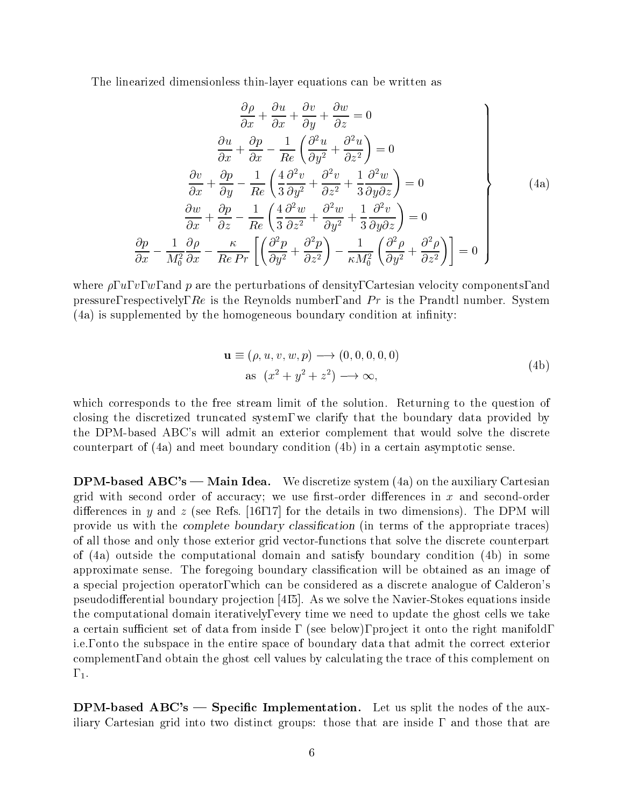The linearized dimensionless thin-layer equations can be written as

$$
\frac{\partial \rho}{\partial x} + \frac{\partial u}{\partial x} + \frac{\partial v}{\partial y} + \frac{\partial w}{\partial z} = 0
$$
\n
$$
\frac{\partial u}{\partial x} + \frac{\partial p}{\partial x} - \frac{1}{Re} \left( \frac{\partial^2 u}{\partial y^2} + \frac{\partial^2 u}{\partial z^2} \right) = 0
$$
\n
$$
\frac{\partial v}{\partial x} + \frac{\partial p}{\partial y} - \frac{1}{Re} \left( \frac{4}{3} \frac{\partial^2 v}{\partial y^2} + \frac{\partial^2 v}{\partial z^2} + \frac{1}{3} \frac{\partial^2 w}{\partial y \partial z} \right) = 0
$$
\n
$$
\frac{\partial w}{\partial x} + \frac{\partial p}{\partial z} - \frac{1}{Re} \left( \frac{4}{3} \frac{\partial^2 w}{\partial z^2} + \frac{\partial^2 w}{\partial y^2} + \frac{1}{3} \frac{\partial^2 v}{\partial y \partial z} \right) = 0
$$
\n
$$
\frac{\partial p}{\partial x} - \frac{1}{M_0^2} \frac{\partial \rho}{\partial x} - \frac{\kappa}{Re Pr} \left[ \left( \frac{\partial^2 p}{\partial y^2} + \frac{\partial^2 p}{\partial z^2} \right) - \frac{1}{\kappa M_0^2} \left( \frac{\partial^2 \rho}{\partial y^2} + \frac{\partial^2 \rho}{\partial z^2} \right) \right] = 0
$$
\n(4a)

where  $\rho, u, v, w$ , and p are the perturbations of density, Cartesian velocity components, and pressure, respectively,  $Re$  is the Reynolds number, and  $Pr$  is the Prandtl number. System  $(4a)$  is supplemented by the homogeneous boundary condition at infinity:

$$
\mathbf{u} \equiv (\rho, u, v, w, p) \longrightarrow (0, 0, 0, 0, 0)
$$
  
as  $(x^2 + y^2 + z^2) \longrightarrow \infty$ , (4b)

which corresponds to the free stream limit of the solution. Returning to the question of closing the discretized truncated system, we clarify that the boundary data provided by the DPM-based ABC's will admit an exterior complement that would solve the discrete counterpart of (4a) and meet boundary condition (4b) in a certain asymptotic sense.

**DPM-based ABC's — Main Idea.** We discretize system  $(4a)$  on the auxiliary Cartesian grid with second order of accuracy; we use first-order differences in  $x$  and second-order differences in y and z (see Refs. [16, 17] for the details in two dimensions). The DPM will provide us with the complete boundary classication (in terms of the appropriate traces) of all those and only those exterior grid vector-functions that solve the discrete counterpart of (4a) outside the computational domain and satisfy boundary condition (4b) in some approximate sense. The foregoing boundary classification will be obtained as an image of a special projection operator, which can be considered as a discrete analogue of Calderon's pseudodifferential boundary projection  $\vert 4, 5 \vert$ . As we solve the Navier-Stokes equations inside the computational domain iteratively, every time we need to update the ghost cells we take a certain sufficient set of data from inside, (see below), project it onto the right manifold, i.e., onto the subspace in the entire space of boundary data that admit the correct exterior complement, and obtain the ghost cell values by calculating the trace of this complement on  $, 1.$ 

 $DPM$ -based  $ABC's$  — Specific Implementation. Let us split the nodes of the auxiliary Cartesian grid into two distinct groups: those that are inside, and those that are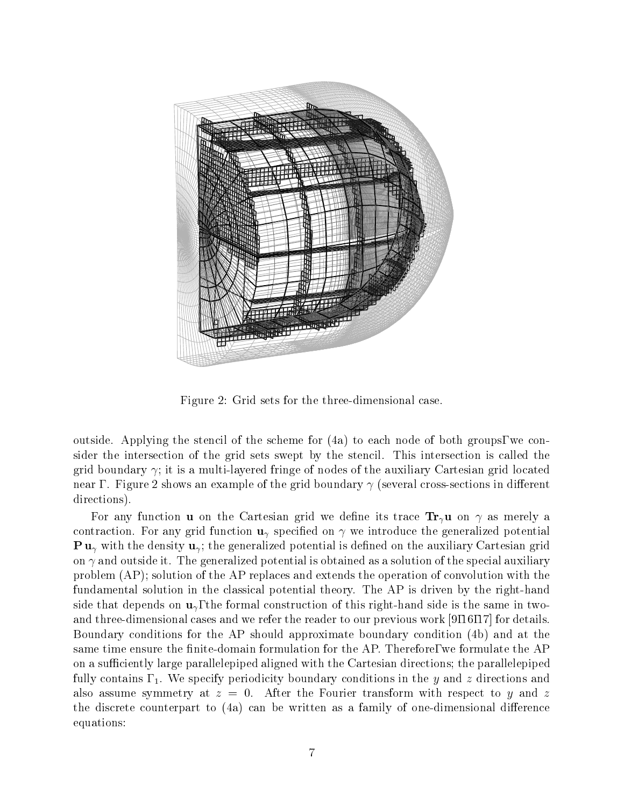

Figure 2: Grid sets for the three-dimensional case.

outside. Applying the stencil of the scheme for (4a) to each node of both groups, we consider the intersection of the grid sets swept by the stencil. This intersection is called the grid boundary  $\gamma$ ; it is a multi-layered fringe of nodes of the auxiliary Cartesian grid located near, Figure 2 shows an example of the grid boundary  $\gamma$  (several cross-sections in different directions).

For any function **u** on the Cartesian grid we define its trace  $\text{Tr}_{\gamma}$ **u** on  $\gamma$  as merely a contraction. For any grid function  $\mathbf{u}_{\gamma}$  specified on  $\gamma$  we introduce the generalized potential  ${\bf P}$  **u**<sub> $\gamma$ </sub> with the density **u**<sub> $\gamma$ </sub>; the generalized potential is defined on the auxiliary Cartesian grid on  $\gamma$  and outside it. The generalized potential is obtained as a solution of the special auxiliary problem (AP); solution of the AP replaces and extends the operation of convolution with the fundamental solution in the classical potential theory. The AP is driven by the right-hand side that depends on  $\mathbf{u}_{\gamma}$ , the formal construction of this right-hand side is the same in twoand three-dimensional cases and we refer the reader to our previous work [9,16,17] for details. Boundary conditions for the AP should approximate boundary condition (4b) and at the same time ensure the finite-domain formulation for the AP. Therefore, we formulate the AP on a sufficiently large parallelepiped aligned with the Cartesian directions; the parallelepiped fully contains  $, 1$ . We specify periodicity boundary conditions in the y and z directions and also assume symmetry at  $z = 0$ . After the Fourier transform with respect to y and z the discrete counterpart to  $(4a)$  can be written as a family of one-dimensional difference equations: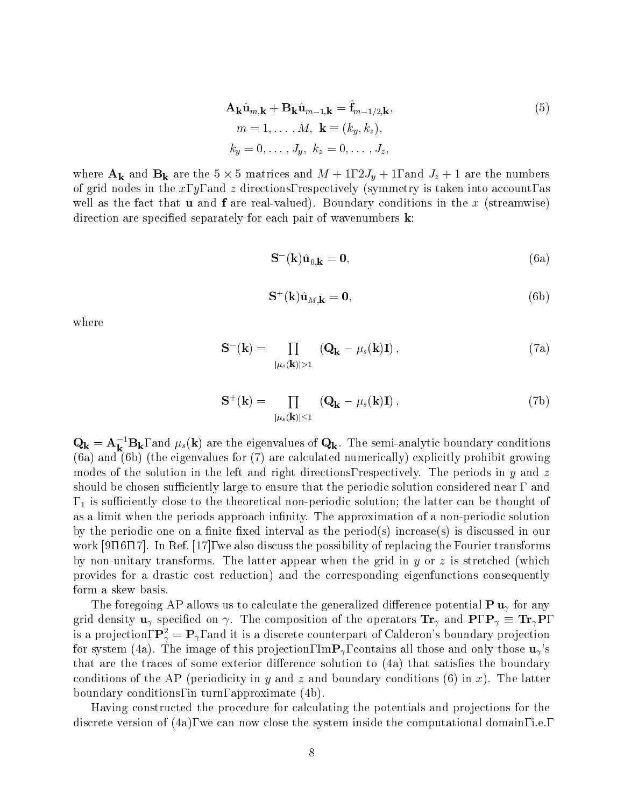$$
\begin{aligned} \mathbf{A}_{\mathbf{k}}\hat{\mathbf{u}}_{m,\mathbf{k}} + \mathbf{B}_{\mathbf{k}}\hat{\mathbf{u}}_{m-1,\mathbf{k}} &= \hat{\mathbf{f}}_{m-1/2,\mathbf{k}},\\ m &= 1, \dots, M, \ \mathbf{k} \equiv (k_y, k_z),\\ k_y &= 0, \dots, J_y, \ k_z = 0, \dots, J_z,\end{aligned} \tag{5}
$$

where  $\mathbf{A}$  and  $\mathbf{B}$  are the  $\mathbf{S}$  -matrices and the  $\mathbf{A}$  -  $\mathbf{y}$  +  $\mathbf{y}$  and  $\mathbf{y}$  +  $\mathbf{z}$  +  $\mathbf{z}$  and  $\mathbf{z}$ of grid nodes in the  $x, y$ , and  $z$  directions, respectively (symmetry is taken into account, as well as the fact that **u** and **f** are real-valued). Boundary conditions in the x (streamwise) direction are specified separately for each pair of wavenumbers **k**:

$$
\mathbf{S}^{-}(\mathbf{k})\hat{\mathbf{u}}_{0,\mathbf{k}} = \mathbf{0},\tag{6a}
$$

$$
\mathbf{S}^+(\mathbf{k})\hat{\mathbf{u}}_{M,\mathbf{k}} = \mathbf{0},\tag{6b}
$$

where

$$
\mathbf{S}^{-}(\mathbf{k}) = \prod_{|\mu_{s}(\mathbf{k})|>1} (\mathbf{Q}_{\mathbf{k}} - \mu_{s}(\mathbf{k})\mathbf{I}), \qquad (7a)
$$

$$
\mathbf{S}^{+}(\mathbf{k}) = \prod_{|\mu_{s}(\mathbf{k})| \leq 1} (\mathbf{Q}_{\mathbf{k}} - \mu_{s}(\mathbf{k})\mathbf{I}), \qquad (7b)
$$

 $\mathbf{Q_k} = \mathbf{A_k}^T \mathbf{B_k}$ , and  $\mu_s(\mathbf{k})$  are the eigenvalues of  $\mathbf{Q_k}$ . The semi-analytic boundary conditions (6a) and (6b) (the eigenvalues for (7) are calculated numerically) explicitly prohibit growing modes of the solution in the left and right directions, respectively. The periods in y and z should be chosen sufficiently large to ensure that the periodic solution considered near, and  $, 1$  is sufficiently close to the theoretical non-periodic solution; the latter can be thought of as a limit when the periods approach infinity. The approximation of a non-periodic solution by the periodic one on a finite fixed interval as the period(s) increase(s) is discussed in our work [9,16,17]. In Ref. [17], we also discuss the possibility of replacing the Fourier transforms by non-unitary transforms. The latter appear when the grid in  $y$  or  $z$  is stretched (which provides for a drastic cost reduction) and the corresponding eigenfunctions consequently form a skew basis.

The foregoing AP allows us to calculate the generalized difference potential  ${\bf P} {\bf u}_{\gamma}$  for any grid density  $\mathbf{u}_{\gamma}$  specified on  $\gamma$ . The composition of the operators  $\mathbf{Tr}_{\gamma}$  and  $\mathbf{P}, \mathbf{P}_{\gamma} \equiv \mathbf{Tr}_{\gamma} \mathbf{P}$ , is a projection,  ${\bf P}^2_{\gamma}={\bf P}_{\gamma}$ , and it is a discrete counterpart of Calderon's boundary projection for system (4a). The image of this projection,  $\text{Im} \mathbf{P}_{\gamma}$ , contains all those and only those  $\mathbf{u}_{\gamma}$ 's that are the traces of some exterior difference solution to  $(4a)$  that satisfies the boundary conditions of the AP (periodicity in y and z and boundary conditions  $(6)$  in x). The latter boundary conditions, in turn, approximate (4b).

Having constructed the procedure for calculating the potentials and projections for the discrete version of (4a), we can now close the system inside the computational domain, i.e.,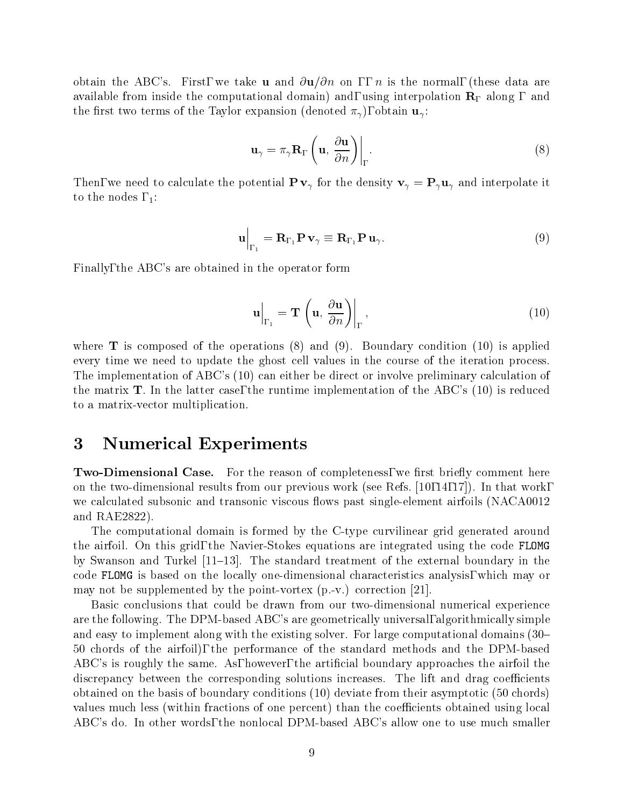obtain the ABC's. First, we take **u** and  $\partial$ **u** $/\partial$ *n* on , *n* is the normal, (these data are available from inside the computational domain) and, using interpolation  $\mathbf{R}_{\Gamma}$  along, and the first two terms of the Taylor expansion (denoted  $\pi_{\gamma}$ ), obtain  $\mathbf{u}_{\gamma}$ :

$$
\mathbf{u}_{\gamma} = \pi_{\gamma} \mathbf{R}_{\Gamma} \left( \mathbf{u}, \frac{\partial \mathbf{u}}{\partial n} \right) \Big|_{\Gamma} . \tag{8}
$$

Then, we need to calculate the potential  $P v_{\gamma}$  for the density  $v_{\gamma} = P_{\gamma} u_{\gamma}$  and interpolate it to the nodes  $, 1$ :

$$
\mathbf{u}\Big|_{\Gamma_1} = \mathbf{R}_{\Gamma_1} \mathbf{P} \mathbf{v}_{\gamma} \equiv \mathbf{R}_{\Gamma_1} \mathbf{P} \mathbf{u}_{\gamma}.
$$
 (9)

Finally, the ABC's are obtained in the operator form

$$
\mathbf{u}\Big|_{\Gamma_1} = \mathbf{T}\left(\mathbf{u}, \frac{\partial \mathbf{u}}{\partial n}\right)\Big|_{\Gamma},\tag{10}
$$

where **T** is composed of the operations  $(8)$  and  $(9)$ . Boundary condition  $(10)$  is applied every time we need to update the ghost cell values in the course of the iteration process. The implementation of ABC's (10) can either be direct or involve preliminary calculation of the matrix T. In the latter case, the runtime implementation of the ABC's (10) is reduced to a matrix-vector multiplication.

### 3 Numerical Experiments

**Two-Dimensional Case.** For the reason of completeness, we first briefly comment here on the two-dimensional results from our previous work (see Refs. [10, 14, 17]). In that work, we calculated subsonic and transonic viscous flows past single-element airfoils (NACA0012 and RAE2822).

The computational domain is formed by the C-type curvilinear grid generated around the airfoil. On this grid, the Navier-Stokes equations are integrated using the code FLOMG by Swanson and Turkel  $[11–13]$ . The standard treatment of the external boundary in the code FLOMG is based on the locally one-dimensional characteristics analysis, which may or may not be supplemented by the point-vortex (p.-v.) correction [21].

Basic conclusions that could be drawn from our two-dimensional numerical experience are the following. The DPM-based ABC's are geometrically universal, algorithmically simple and easy to implement along with the existing solver. For large computational domains (30– 50 chords of the airfoil), the performance of the standard methods and the DPM-based ABC's is roughly the same. As, however, the artificial boundary approaches the airfoil the discrepancy between the corresponding solutions increases. The lift and drag coefficients obtained on the basis of boundary conditions (10) deviate from their asymptotic (50 chords) values much less (within fractions of one percent) than the coefficients obtained using local ABC's do. In other words, the nonlocal DPM-based ABC's allow one to use much smaller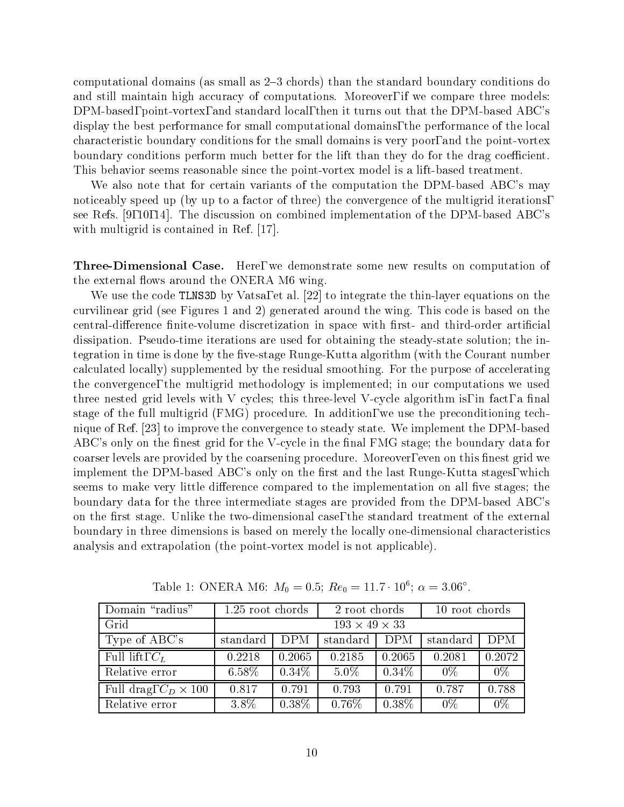computational domains (as small as 2–3 chords) than the standard boundary conditions do and still maintain high accuracy of computations. Moreover, if we compare three models: DPM-based, point-vortex, and standard local, then it turns out that the DPM-based ABC's display the best performance for small computational domains, the performance of the local characteristic boundary conditions for the small domains is very poor, and the point-vortex boundary conditions perform much better for the lift than they do for the drag coefficient. This behavior seems reasonable since the point-vortex model is a lift-based treatment.

We also note that for certain variants of the computation the DPM-based ABC's may noticeably speed up (by up to a factor of three) the convergence of the multigrid iterations, see Refs. [9, 10, 14]. The discussion on combined implementation of the DPM-based ABC's with multigrid is contained in Ref. [17].

Three-Dimensional Case. Here, we demonstrate some new results on computation of the external flows around the ONERA M6 wing.

We use the code TLNS3D by Vatsa, et al. [22] to integrate the thin-layer equations on the curvilinear grid (see Figures 1 and 2) generated around the wing. This code is based on the central-difference finite-volume discretization in space with first- and third-order artificial dissipation. Pseudo-time iterations are used for obtaining the steady-state solution; the integration in time is done by the five-stage Runge-Kutta algorithm (with the Courant number calculated locally) supplemented by the residual smoothing. For the purpose of accelerating the convergence, the multigrid methodology is implemented; in our computations we used three nested grid levels with  $V$  cycles; this three-level  $V$ -cycle algorithm is, in fact, a final stage of the full multigrid (FMG) procedure. In addition, we use the preconditioning technique of Ref. [23] to improve the convergence to steady state. We implement the DPM-based ABC's only on the finest grid for the V-cycle in the final FMG stage; the boundary data for coarser levels are provided by the coarsening procedure. Moreover, even on this finest grid we implement the DPM-based ABC's only on the first and the last Runge-Kutta stages, which seems to make very little difference compared to the implementation on all five stages; the boundary data for the three intermediate stages are provided from the DPM-based ABC's on the first stage. Unlike the two-dimensional case, the standard treatment of the external boundary in three dimensions is based on merely the locally one-dimensional characteristics analysis and extrapolation (the point-vortex model is not applicable).

| Domain "radius"             | $1.25$ root chords        |          | 2 root chords |          | 10 root chords |        |  |
|-----------------------------|---------------------------|----------|---------------|----------|----------------|--------|--|
| Grid                        | $193 \times 49 \times 33$ |          |               |          |                |        |  |
| Type of ABC's               | standard                  | DPM      | standard      | DPM      | standard       | DPM    |  |
| Full lift, $C_L$            | 0.2218                    | 0.2065   | 0.2185        | 0.2065   | 0.2081         | 0.2072 |  |
| Relative error              | $6.58\%$                  | $0.34\%$ | $5.0\%$       | $0.34\%$ | $0\%$          | $0\%$  |  |
| Full drag, $C_D \times 100$ | 0.817                     | 0.791    | 0.793         | 0.791    | 0.787          | 0.788  |  |
| Relative error              | $3.8\%$                   | $0.38\%$ | $0.76\%$      | $0.38\%$ | $0\%$          | $0\%$  |  |

Table 1: ONERA M0:  $M_0 = 0.3$ ;  $Re_0 = 11.7 \cdot 10^{\circ}$ ;  $\alpha = 3.00$ .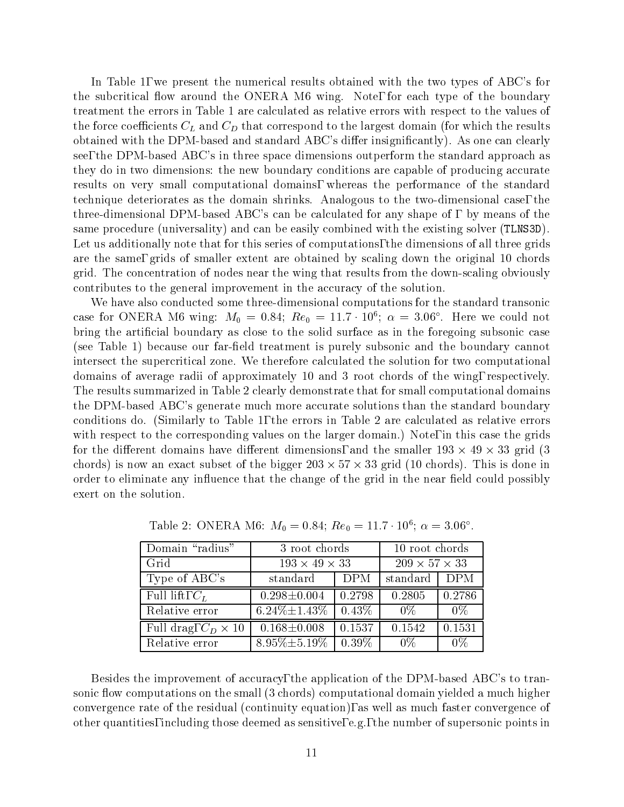In Table 1, we present the numerical results obtained with the two types of ABC's for the subcritical flow around the ONERA M6 wing. Note, for each type of the boundary treatment the errors in Table 1 are calculated as relative errors with respect to the values of the force coefficients  $C_L$  and  $C_D$  that correspond to the largest domain (for which the results obtained with the DPM-based and standard ABC's differ insignificantly). As one can clearly see, the DPM-based ABC's in three space dimensions outperform the standard approach as they do in two dimensions: the new boundary conditions are capable of producing accurate results on very small computational domains, whereas the performance of the standard technique deteriorates as the domain shrinks. Analogous to the two-dimensional case, the three-dimensional DPM-based ABC's can be calculated for any shape of, by means of the same procedure (universality) and can be easily combined with the existing solver (TLNS3D). Let us additionally note that for this series of computations, the dimensions of all three grids are the same, grids of smaller extent are obtained by scaling down the original 10 chords grid. The concentration of nodes near the wing that results from the down-scaling obviously contributes to the general improvement in the accuracy of the solution.

We have also conducted some three-dimensional computations for the standard transonic case for ONERA M6 wing:  $M_0 = 0.84$ ;  $Re_0 = 11.7 \cdot 10^{\circ}$ ;  $\alpha = 5.06$  . Here we could not bring the articial boundary as close to the solid surface as in the foregoing subsonic case (see Table 1) because our far-field treatment is purely subsonic and the boundary cannot intersect the supercritical zone. We therefore calculated the solution for two computational domains of average radii of approximately 10 and 3 root chords of the wing, respectively. The results summarized in Table 2 clearly demonstrate that for small computational domains the DPM-based ABC's generate much more accurate solutions than the standard boundary conditions do. (Similarly to Table 1, the errors in Table 2 are calculated as relative errors with respect to the corresponding values on the larger domain.) Note, in this case the grids for the dierent domains have dierent dimensions, and the smaller 193 - 49 - 33 grid (3 chords) is now and the bigger of the bigger 203 - 10 chords). The subset of the bigger  $\sim$ order to eliminate any influence that the change of the grid in the near field could possibly exert on the solution.

| Domain "radius"                 | 3 root chords                  |                  | 10 root chords            |        |
|---------------------------------|--------------------------------|------------------|---------------------------|--------|
| Grid                            | $193 \times 49 \times 33$      |                  | $209 \times 57 \times 33$ |        |
| Type of ABC's                   | standard                       | $\mathsf{I}$ DPM | standard DPM              |        |
| Full lift, $C_L$                | $0.298 \pm 0.004$   0.2798     |                  | $0.2805$ 0.2786           |        |
| Relative error                  | $6.24\% \pm 1.43\%$   0.43\%   |                  | $0\%$                     | $0\%$  |
| Full drag, $C_D \times 10^{-1}$ | $0.168 \pm 0.008$   0.1537     |                  | 0.1542                    | 0.1531 |
| Relative error                  | $8.95\% \pm 5.19\% \pm 0.39\%$ |                  | 0%                        | $0\%$  |

Table 2: ONERA M0:  $M_0 = 0.84$ ;  $Re_0 = 11.7 \cdot 10^6$ ;  $\alpha = 3.06$ .

Besides the improvement of accuracy, the application of the DPM-based ABC's to transonic flow computations on the small (3 chords) computational domain yielded a much higher convergence rate of the residual (continuity equation), as well as much faster convergence of other quantities, including those deemed as sensitive, e.g., the number of supersonic points in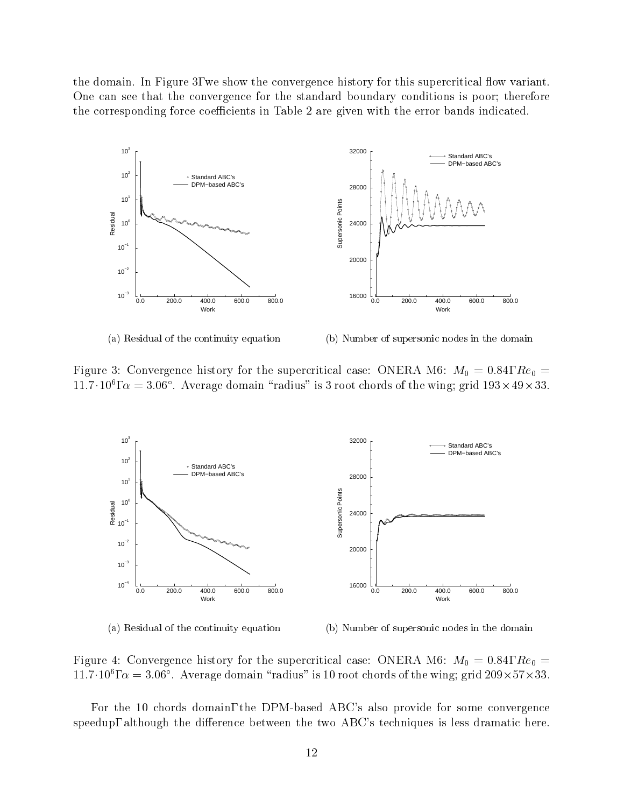the domain. In Figure 3, we show the convergence history for this supercritical flow variant. One can see that the convergence for the standard boundary conditions is poor; therefore the corresponding force coefficients in Table 2 are given with the error bands indicated.



(a) Residual of the continuity equation

(b) Number of supersonic nodes in the domain

Figure 3: Convergence history for the supercritical case: ONERA M6:  $M_0 = 0.84$ ,  $Re_0 =$  $11.7 \cdot 10^{\circ}$ ,  $\alpha = 5.00$  . Average domain a radius as 5 root chords of the wing; grid 195 $\times$ 49 $\times$ 55.



(a) Residual of the continuity equation

(b) Number of supersonic nodes in the domain

Figure 4: Convergence history for the supercritical case: ONERA M6:  $M_0 = 0.84$ ,  $Re_0 =$  $11.7 \cdot 10^{\circ}$ ,  $\alpha = 3.00$  . Average domain fractured is 10 root chords of the wing; grid 209  $\times$  37  $\times$  35.

For the 10 chords domain, the DPM-based ABC's also provide for some convergence speedup, although the difference between the two ABC's techniques is less dramatic here.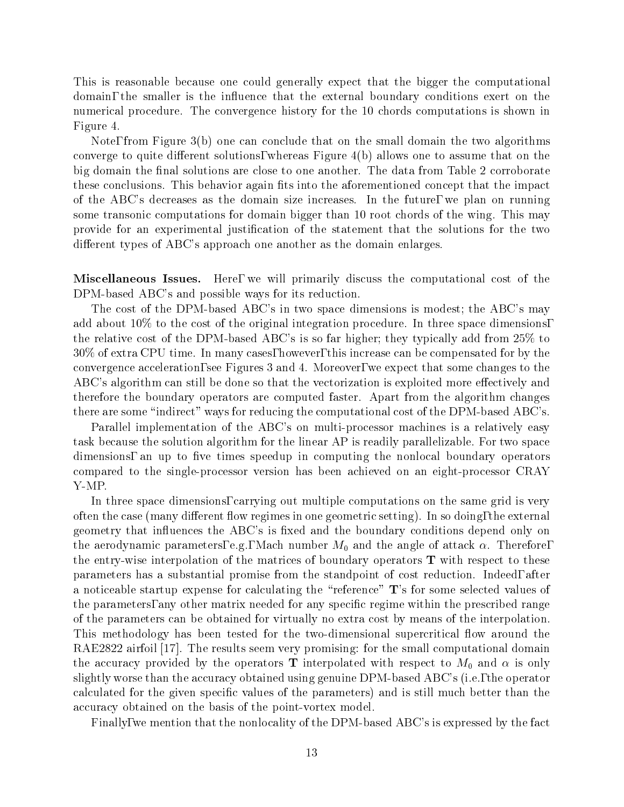This is reasonable because one could generally expect that the bigger the computational domain, the smaller is the influence that the external boundary conditions exert on the numerical procedure. The convergence history for the 10 chords computations is shown in Figure 4.

Note, from Figure 3(b) one can conclude that on the small domain the two algorithms converge to quite different solutions, whereas Figure  $4(b)$  allows one to assume that on the big domain the final solutions are close to one another. The data from Table 2 corroborate these conclusions. This behavior again fits into the aforementioned concept that the impact of the ABC's decreases as the domain size increases. In the future, we plan on running some transonic computations for domain bigger than 10 root chords of the wing. This may provide for an experimental justication of the statement that the solutions for the two different types of ABC's approach one another as the domain enlarges.

Miscellaneous Issues. Here, we will primarily discuss the computational cost of the DPM-based ABC's and possible ways for its reduction.

The cost of the DPM-based ABC's in two space dimensions is modest; the ABC's may add about 10% to the cost of the original integration procedure. In three space dimensions, the relative cost of the DPM-based ABC's is so far higher; they typically add from 25% to 30% of extra CPU time. In many cases, however, this increase can be compensated for by the convergence acceleration, see Figures 3 and 4. Moreover, we expect that some changes to the ABC's algorithm can still be done so that the vectorization is exploited more effectively and therefore the boundary operators are computed faster. Apart from the algorithm changes there are some "indirect" ways for reducing the computational cost of the DPM-based ABC's.

Parallel implementation of the ABC's on multi-processor machines is a relatively easy task because the solution algorithm for the linear AP is readily parallelizable. For two space dimensions, an up to five times speedup in computing the nonlocal boundary operators compared to the single-processor version has been achieved on an eight-processor CRAY Y-MP.

In three space dimensions, carrying out multiple computations on the same grid is very often the case (many different flow regimes in one geometric setting). In so doing, the external geometry that influences the ABC's is fixed and the boundary conditions depend only on the aerodynamic parameters, e.g., Mach number  $M_0$  and the angle of attack  $\alpha$ . Therefore, the entry-wise interpolation of the matrices of boundary operators  $T$  with respect to these parameters has a substantial promise from the standpoint of cost reduction. Indeed, after a noticeable startup expense for calculating the "reference"  $\mathbf{T}'$ 's for some selected values of the parameters, any other matrix needed for any specic regime within the prescribed range of the parameters can be obtained for virtually no extra cost by means of the interpolation. This methodology has been tested for the two-dimensional supercritical flow around the RAE2822 airfoil [17]. The results seem very promising: for the small computational domain the accuracy provided by the operators **T** interpolated with respect to  $M_0$  and  $\alpha$  is only slightly worse than the accuracy obtained using genuine DPM-based ABC's (i.e., the operator calculated for the given specic values of the parameters) and is still much better than the accuracy obtained on the basis of the point-vortex model.

Finally, we mention that the nonlocality of the DPM-based ABC's is expressed by the fact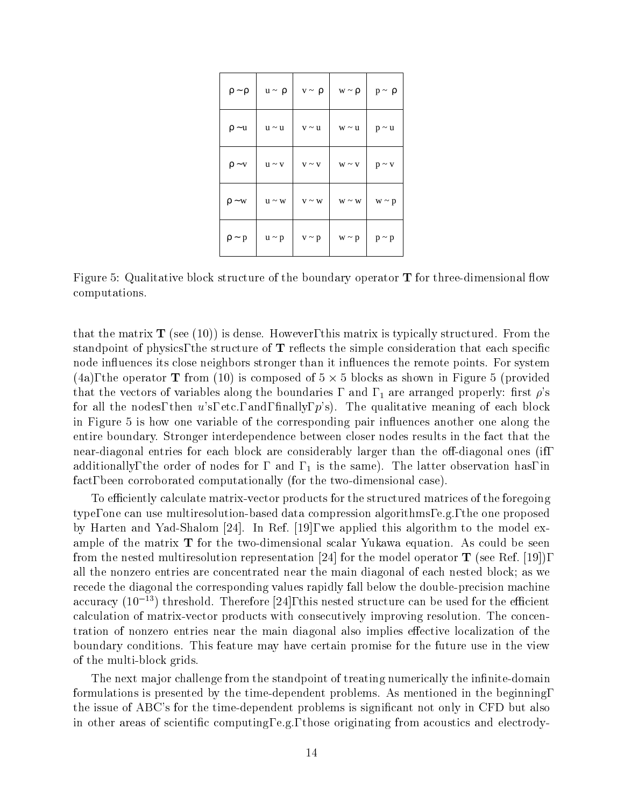| $\rho \sim \rho$ | $u \sim \rho$                                        | $v \sim \rho$            | $w \sim \rho$ | $p \sim \rho$                                                  |
|------------------|------------------------------------------------------|--------------------------|---------------|----------------------------------------------------------------|
| $\rho \sim u$    | $u \sim u$                                           | $v \sim u$               | $W \sim u$    | $p \sim u$                                                     |
| $\rho \sim v$    | $u \sim v$                                           | $\rm{V}$ $\sim$ $\rm{V}$ | $W \sim V$    | $p \sim v$                                                     |
| $\rho \sim w$    | $\ensuremath{\mathbf u} \sim \ensuremath{\mathbf w}$ | $\text{v}\sim \text{w}$  | $W \sim W$    | $\ensuremath{\text{w}}\xspace\sim\ensuremath{\text{p}}\xspace$ |
| $\rho \sim p$    | $u \sim p$                                           | $v \sim p$               | $w \sim p$    | $p \sim p$                                                     |

Figure 5: Qualitative block structure of the boundary operator  $T$  for three-dimensional flow computations.

that the matrix  $\mathbf T$  (see (10)) is dense. However, this matrix is typically structured. From the standpoint of physics, the structure of  $T$  reflects the simple consideration that each specific node influences its close neighbors stronger than it influences the remote points. For system (4a), the operator T from (10) is composed of 5 - 5 blocks as shown in Figure 5 (provided that the vectors of variables along the boundaries, and,  $_1$  are arranged properly: first  $\rho$ 's for all the nodes, then  $u$ 's, etc., and, finally,  $p$ 's). The qualitative meaning of each block in Figure 5 is how one variable of the corresponding pair influences another one along the entire boundary. Stronger interdependence between closer nodes results in the fact that the near-diagonal entries for each block are considerably larger than the off-diagonal ones (if, additionally, the order of nodes for, and,  $_1$  is the same). The latter observation has, in fact, been corroborated computationally (for the two-dimensional case).

To efficiently calculate matrix-vector products for the structured matrices of the foregoing type, one can use multiresolution-based data compression algorithms, e.g., the one proposed by Harten and Yad-Shalom [24]. In Ref. [19], we applied this algorithm to the model example of the matrix  $T$  for the two-dimensional scalar Yukawa equation. As could be seen from the nested multiresolution representation [24] for the model operator  $\bf{T}$  (see Ref. [19]), all the nonzero entries are concentrated near the main diagonal of each nested block; as we recede the diagonal the corresponding values rapidly fall below the double-precision machine accuracy  $(10^{-13})$  threshold. Therefore [24], this nested structure can be used for the efficient calculation of matrix-vector products with consecutively improving resolution. The concentration of nonzero entries near the main diagonal also implies effective localization of the boundary conditions. This feature may have certain promise for the future use in the view of the multi-block grids.

The next major challenge from the standpoint of treating numerically the infinite-domain formulations is presented by the time-dependent problems. As mentioned in the beginning, the issue of ABC's for the time-dependent problems is significant not only in CFD but also in other areas of scientific computing, e.g., those originating from acoustics and electrody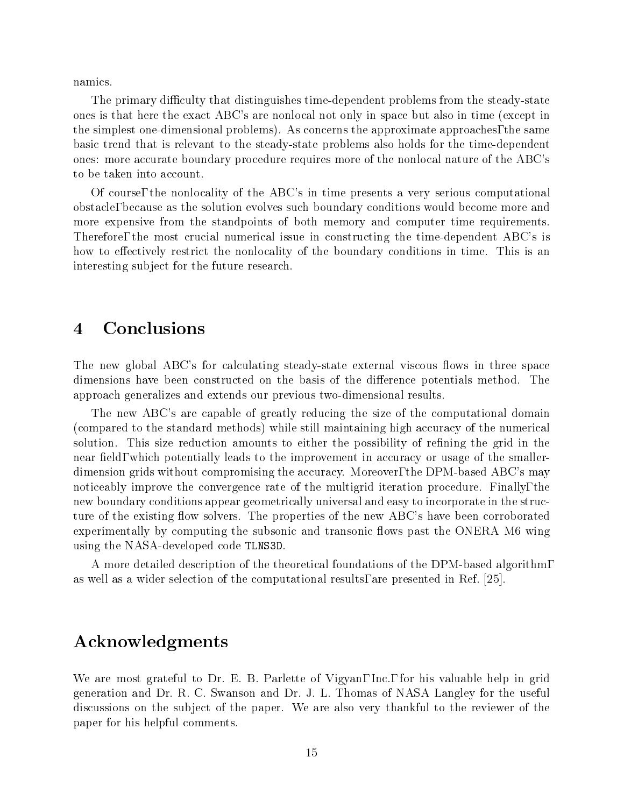namics.

The primary difficulty that distinguishes time-dependent problems from the steady-state ones is that here the exact ABC's are nonlocal not only in space but also in time (except in the simplest one-dimensional problems). As concerns the approximate approaches, the same basic trend that is relevant to the steady-state problems also holds for the time-dependent ones: more accurate boundary procedure requires more of the nonlocal nature of the ABC's to be taken into account.

Of course, the nonlocality of the ABC's in time presents a very serious computational obstacle, because as the solution evolves such boundary conditions would become more and more expensive from the standpoints of both memory and computer time requirements. Therefore, the most crucial numerical issue in constructing the time-dependent ABC's is how to effectively restrict the nonlocality of the boundary conditions in time. This is an interesting sub ject for the future research.

# 4 Conclusions

The new global ABC's for calculating steady-state external viscous flows in three space dimensions have been constructed on the basis of the difference potentials method. The approach generalizes and extends our previous two-dimensional results.

The new ABC's are capable of greatly reducing the size of the computational domain (compared to the standard methods) while still maintaining high accuracy of the numerical solution. This size reduction amounts to either the possibility of refining the grid in the near field, which potentially leads to the improvement in accuracy or usage of the smallerdimension grids without compromising the accuracy. Moreover, the DPM-based ABC's may noticeably improve the convergence rate of the multigrid iteration procedure. Finally, the new boundary conditions appear geometrically universal and easy to incorporate in the structure of the existing flow solvers. The properties of the new ABC's have been corroborated experimentally by computing the subsonic and transonic flows past the ONERA M6 wing using the NASA-developed code TLNS3D.

A more detailed description of the theoretical foundations of the DPM-based algorithm, as well as a wider selection of the computational results, are presented in Ref. [25].

### Acknowledgments

We are most grateful to Dr. E. B. Parlette of Vigyan, Inc., for his valuable help in grid generation and Dr. R. C. Swanson and Dr. J. L. Thomas of NASA Langley for the useful discussions on the subject of the paper. We are also very thankful to the reviewer of the paper for his helpful comments.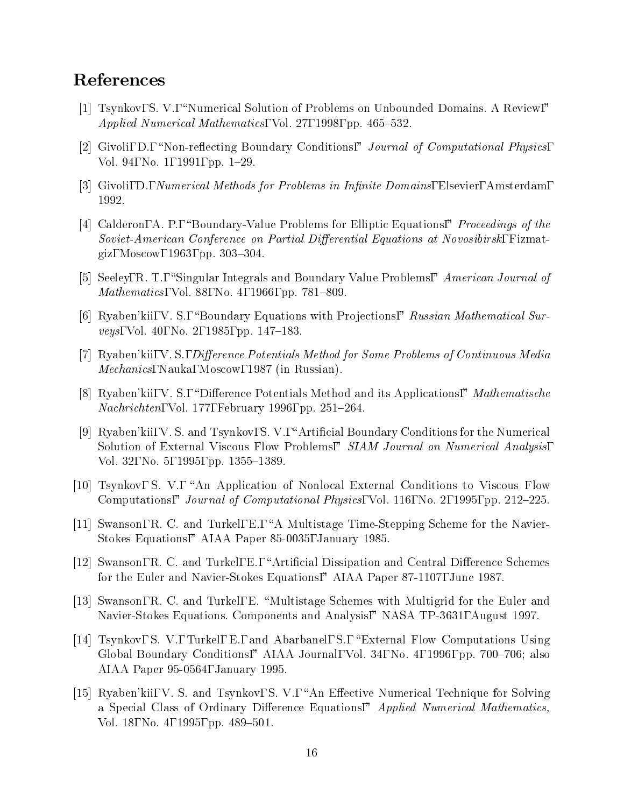# References

- [1] Tsynkov, S. V., "Numerical Solution of Problems on Unbounded Domains. A Review," Applied Numerical Mathematics, Vol. 27, 1998, pp.  $465–532$ .
- [2] Givoli, D., "Non-reflecting Boundary Conditions," *Journal of Computational Physics*, Vol. 94, No. 1, 1991, pp. 1–29.
- [3] Givoli, D., Numerical Methods for Problems in Infinite Domains, Elsevier, Amsterdam, 1992.
- [4] Calderon, A. P., "Boundary-Value Problems for Elliptic Equations," Proceedings of the Soviet-American Conference on Partial Differential Equations at Novosibirsk, Fizmatgiz, Moscow, 1963, pp. 303-304.
- [5] Seeley, R. T., "Singular Integrals and Boundary Value Problems," American Journal of *Mathematics*, Vol. 88, No. 4, 1966, pp.  $781{-}809$ .
- [6] Ryaben'kii, V. S., "Boundary Equations with Projections," Russian Mathematical Sur*veys*, Vol. 40, No. 2, 1985, pp.  $147-183$ .
- [7] Ryaben'kii, V. S., *Difference Potentials Method for Some Problems of Continuous Media* Mechanics, Nauka, Moscow, 1987 (in Russian).
- [8] Ryaben'kii, V. S., "Difference Potentials Method and its Applications," *Mathematische*  $\textit{Nachrichten}$ , Vol. 177, February 1996, pp. 251–264.
- [9] Ryaben'kii, V. S. and Tsynkov, S. V., "Artificial Boundary Conditions for the Numerical Solution of External Viscous Flow Problems," SIAM Journal on Numerical Analysis, Vol. 32, No. 5, 1995, pp. 1355–1389.
- [10] Tsynkov, S. V., \An Application of Nonlocal External Conditions to Viscous Flow Computations," *Journal of Computational Physics*, Vol. 116, No. 2, 1995, pp. 212–225.
- [11] Swanson, R. C. and Turkel, E., \A Multistage Time-Stepping Scheme for the Navier-Stokes Equations," AIAA Paper 85-0035, January 1985.
- [12] Swanson, R. C. and Turkel, E., "Artificial Dissipation and Central Difference Schemes for the Euler and Navier-Stokes Equations," AIAA Paper 87-1107, June 1987.
- [13] Swanson, R. C. and Turkel, E. \Multistage Schemes with Multigrid for the Euler and Navier-Stokes Equations. Components and Analysis," NASA TP-3631, August 1997.
- [14] Tsynkov, S. V., Turkel, E., and Abarbanel, S., "External Flow Computations Using Global Boundary Conditions," AIAA Journal, Vol. 34, No. 4, 1996, pp. 700–706; also AIAA Paper 95-0564, January 1995.
- [15] Ryaben'kii, V. S. and Tsynkov, S. V., "An Effective Numerical Technique for Solving a Special Class of Ordinary Difference Equations," Applied Numerical Mathematics, Vol. 18, No. 4, 1995, pp. 489–501.